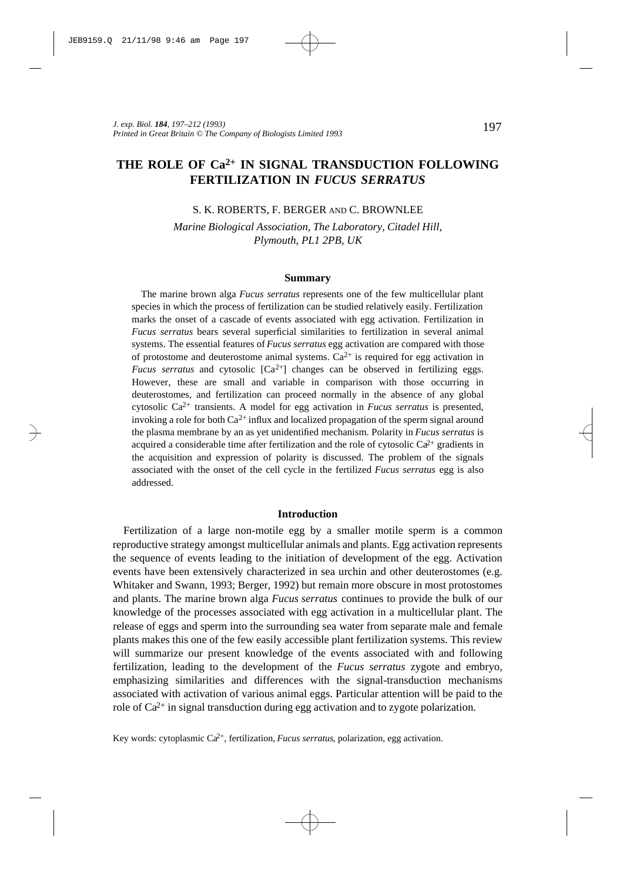# **THE ROLE OF Ca 2+ IN SIGNAL TRANSDUCTION FOLLOWING FERTILIZATION IN** *FUCUS SERRATUS*

### S. K. ROBERTS, F. BERGER AND C. BROWNLEE

*Marine Biological Association, The Laboratory, Citadel Hill, Plymouth, PL1 2PB, UK*

#### **Summary**

The marine brown alga *Fucus serratus* represents one of the few multicellular plant species in which the process of fertilization can be studied relatively easily. Fertilization marks the onset of a cascade of events associated with egg activation. Fertilization in *Fucus serratus* bears several superficial similarities to fertilization in several animal systems. The essential features of *Fucus serratus* egg activation are compared with those of protostome and deuterostome animal systems.  $Ca^{2+}$  is required for egg activation in *Fucus serratus* and cytosolic  $[Ca^{2+}]$  changes can be observed in fertilizing eggs. However, these are small and variable in comparison with those occurring in deuterostomes, and fertilization can proceed normally in the absence of any global cytosolic Ca2+ transients. A model for egg activation in *Fucus serratus* is presented, invoking a role for both  $Ca^{2+}$  influx and localized propagation of the sperm signal around the plasma membrane by an as yet unidentified mechanism. Polarity in *Fucus serratus* is acquired a considerable time after fertilization and the role of cytosolic  $Ca^{2+}$  gradients in the acquisition and expression of polarity is discussed. The problem of the signals associated with the onset of the cell cycle in the fertilized *Fucus serratus* egg is also addressed.

### **Introduction**

Fertilization of a large non-motile egg by a smaller motile sperm is a common reproductive strategy amongst multicellular animals and plants. Egg activation represents the sequence of events leading to the initiation of development of the egg. Activation events have been extensively characterized in sea urchin and other deuterostomes (e.g. Whitaker and Swann, 1993; Berger, 1992) but remain more obscure in most protostomes and plants. The marine brown alga *Fucus serratus* continues to provide the bulk of our knowledge of the processes associated with egg activation in a multicellular plant. The release of eggs and sperm into the surrounding sea water from separate male and female plants makes this one of the few easily accessible plant fertilization systems. This review will summarize our present knowledge of the events associated with and following fertilization, leading to the development of the *Fucus serratus* zygote and embryo, emphasizing similarities and differences with the signal-transduction mechanisms associated with activation of various animal eggs. Particular attention will be paid to the role of  $Ca^{2+}$  in signal transduction during egg activation and to zygote polarization.

Key words: cytoplasmic Ca2+, fertilization, *Fucus serratus*, polarization, egg activation.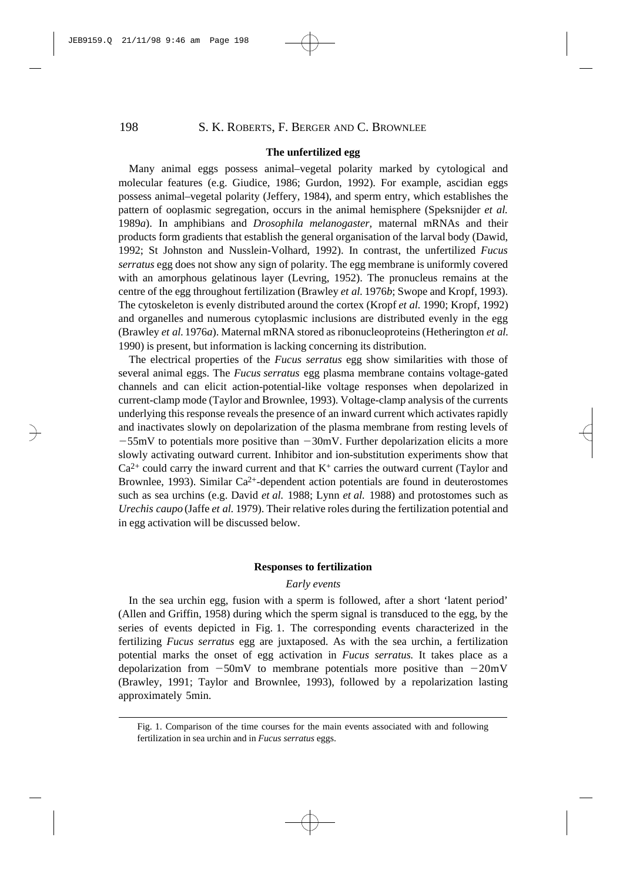# **The unfertilized egg**

Many animal eggs possess animal–vegetal polarity marked by cytological and molecular features (e.g. Giudice, 1986; Gurdon, 1992). For example, ascidian eggs possess animal–vegetal polarity (Jeffery, 1984), and sperm entry, which establishes the pattern of ooplasmic segregation, occurs in the animal hemisphere (Speksnijder *et al.* 1989*a*). In amphibians and *Drosophila melanogaster,* maternal mRNAs and their products form gradients that establish the general organisation of the larval body (Dawid, 1992; St Johnston and Nusslein-Volhard, 1992). In contrast, the unfertilized *Fucus serratus* egg does not show any sign of polarity. The egg membrane is uniformly covered with an amorphous gelatinous layer (Levring, 1952). The pronucleus remains at the centre of the egg throughout fertilization (Brawley *et al.* 1976*b*; Swope and Kropf, 1993). The cytoskeleton is evenly distributed around the cortex (Kropf *et al.* 1990; Kropf, 1992) and organelles and numerous cytoplasmic inclusions are distributed evenly in the egg (Brawley *et al.* 1976*a*). Maternal mRNA stored as ribonucleoproteins (Hetherington *et al.* 1990) is present, but information is lacking concerning its distribution.

The electrical properties of the *Fucus serratus* egg show similarities with those of several animal eggs. The *Fucus serratus* egg plasma membrane contains voltage-gated channels and can elicit action-potential-like voltage responses when depolarized in current-clamp mode (Taylor and Brownlee, 1993). Voltage-clamp analysis of the currents underlying this response reveals the presence of an inward current which activates rapidly and inactivates slowly on depolarization of the plasma membrane from resting levels of  $-55$ mV to potentials more positive than  $-30$ mV. Further depolarization elicits a more slowly activating outward current. Inhibitor and ion-substitution experiments show that  $Ca<sup>2+</sup>$  could carry the inward current and that  $K<sup>+</sup>$  carries the outward current (Taylor and Brownlee, 1993). Similar  $Ca^{2+}$ -dependent action potentials are found in deuterostomes such as sea urchins (e.g. David *et al.* 1988; Lynn *et al.* 1988) and protostomes such as *Urechis caupo* (Jaffe *et al.* 1979). Their relative roles during the fertilization potential and in egg activation will be discussed below.

### **Responses to fertilization**

# *Early events*

In the sea urchin egg, fusion with a sperm is followed, after a short 'latent period' (Allen and Griffin, 1958) during which the sperm signal is transduced to the egg, by the series of events depicted in Fig. 1. The corresponding events characterized in the fertilizing *Fucus serratus* egg are juxtaposed. As with the sea urchin, a fertilization potential marks the onset of egg activation in *Fucus serratus*. It takes place as a depolarization from  $-50$ mV to membrane potentials more positive than  $-20$ mV (Brawley, 1991; Taylor and Brownlee, 1993), followed by a repolarization lasting approximately 5min.

Fig. 1. Comparison of the time courses for the main events associated with and following fertilization in sea urchin and in *Fucus serratus* eggs.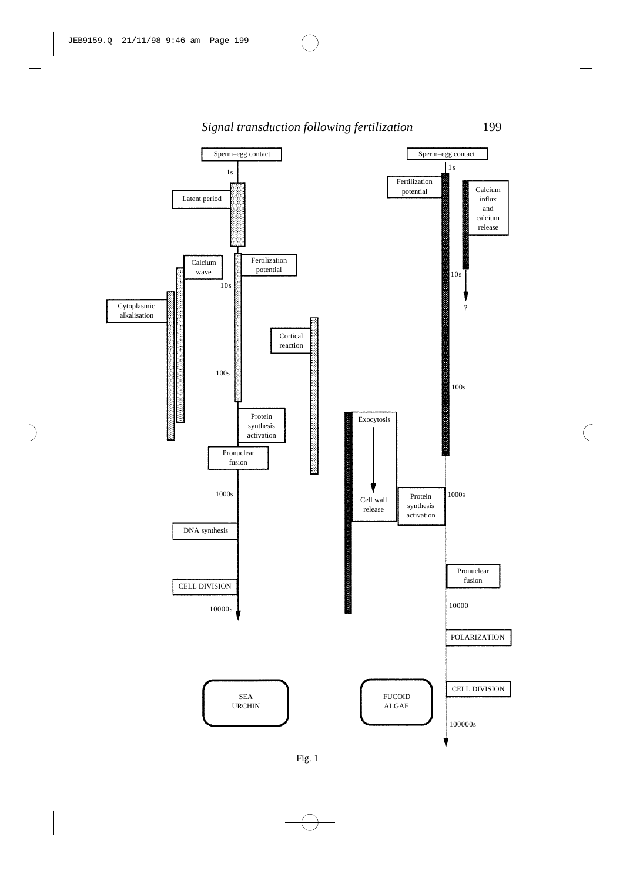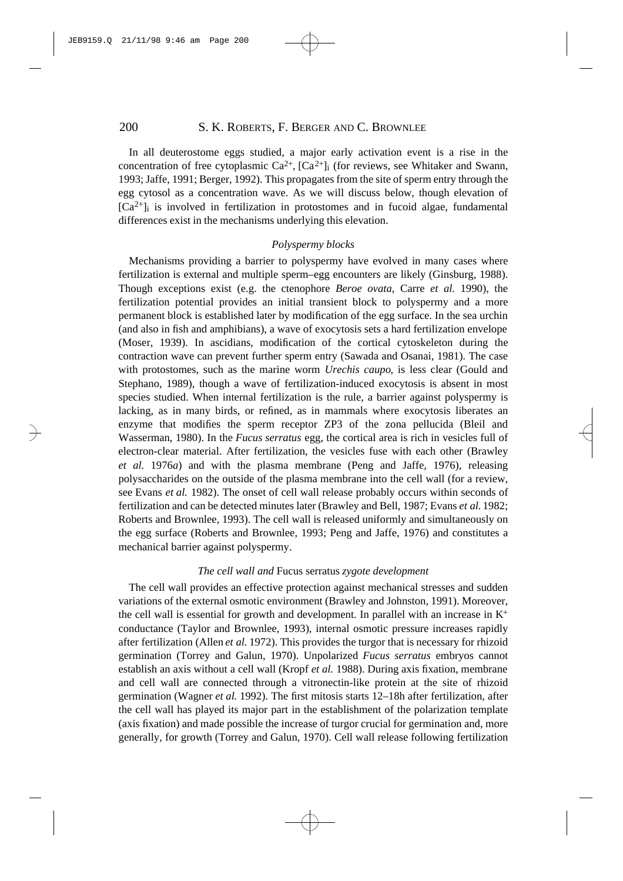In all deuterostome eggs studied, a major early activation event is a rise in the concentration of free cytoplasmic  $Ca^{2+}$ ,  $[Ca^{2+}]\text{i}$  (for reviews, see Whitaker and Swann, 1993; Jaffe, 1991; Berger, 1992). This propagates from the site of sperm entry through the egg cytosol as a concentration wave. As we will discuss below, though elevation of  $[Ca<sup>2+</sup>]$  is involved in fertilization in protostomes and in fucoid algae, fundamental differences exist in the mechanisms underlying this elevation.

### *Polyspermy blocks*

Mechanisms providing a barrier to polyspermy have evolved in many cases where fertilization is external and multiple sperm–egg encounters are likely (Ginsburg, 1988). Though exceptions exist (e.g. the ctenophore *Beroe ovata*, Carre *et al.* 1990), the fertilization potential provides an initial transient block to polyspermy and a more permanent block is established later by modification of the egg surface. In the sea urchin (and also in fish and amphibians), a wave of exocytosis sets a hard fertilization envelope (Moser, 1939). In ascidians, modification of the cortical cytoskeleton during the contraction wave can prevent further sperm entry (Sawada and Osanai, 1981). The case with protostomes, such as the marine worm *Urechis caupo*, is less clear (Gould and Stephano, 1989), though a wave of fertilization-induced exocytosis is absent in most species studied. When internal fertilization is the rule, a barrier against polyspermy is lacking, as in many birds, or refined, as in mammals where exocytosis liberates an enzyme that modifies the sperm receptor ZP3 of the zona pellucida (Bleil and Wasserman, 1980). In the *Fucus serratus* egg, the cortical area is rich in vesicles full of electron-clear material. After fertilization, the vesicles fuse with each other (Brawley *et al.* 1976*a*) and with the plasma membrane (Peng and Jaffe, 1976), releasing polysaccharides on the outside of the plasma membrane into the cell wall (for a review, see Evans *et al.* 1982). The onset of cell wall release probably occurs within seconds of fertilization and can be detected minutes later (Brawley and Bell, 1987; Evans *et al.* 1982; Roberts and Brownlee, 1993). The cell wall is released uniformly and simultaneously on the egg surface (Roberts and Brownlee, 1993; Peng and Jaffe, 1976) and constitutes a mechanical barrier against polyspermy.

#### *The cell wall and* Fucus serratus *zygote development*

The cell wall provides an effective protection against mechanical stresses and sudden variations of the external osmotic environment (Brawley and Johnston, 1991). Moreover, the cell wall is essential for growth and development. In parallel with an increase in  $K^+$ conductance (Taylor and Brownlee, 1993), internal osmotic pressure increases rapidly after fertilization (Allen *et al.* 1972). This provides the turgor that is necessary for rhizoid germination (Torrey and Galun, 1970). Unpolarized *Fucus serratus* embryos cannot establish an axis without a cell wall (Kropf *et al.* 1988). During axis fixation, membrane and cell wall are connected through a vitronectin-like protein at the site of rhizoid germination (Wagner *et al.* 1992). The first mitosis starts 12–18h after fertilization, after the cell wall has played its major part in the establishment of the polarization template (axis fixation) and made possible the increase of turgor crucial for germination and, more generally, for growth (Torrey and Galun, 1970). Cell wall release following fertilization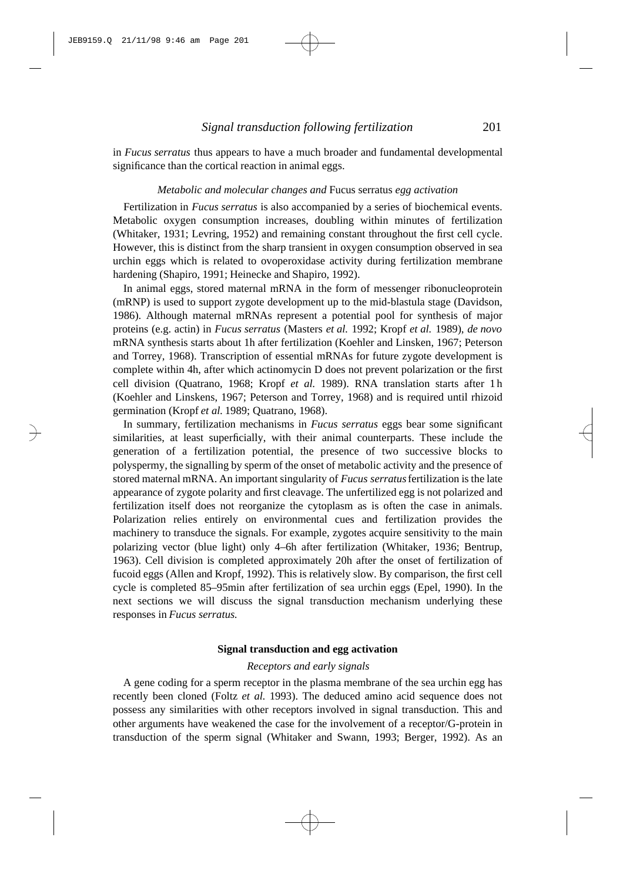in *Fucus serratus* thus appears to have a much broader and fundamental developmental significance than the cortical reaction in animal eggs.

### *Metabolic and molecular changes and* Fucus serratus *egg activation*

Fertilization in *Fucus serratus* is also accompanied by a series of biochemical events. Metabolic oxygen consumption increases, doubling within minutes of fertilization (Whitaker, 1931; Levring, 1952) and remaining constant throughout the first cell cycle. However, this is distinct from the sharp transient in oxygen consumption observed in sea urchin eggs which is related to ovoperoxidase activity during fertilization membrane hardening (Shapiro, 1991; Heinecke and Shapiro, 1992).

In animal eggs, stored maternal mRNA in the form of messenger ribonucleoprotein (mRNP) is used to support zygote development up to the mid-blastula stage (Davidson, 1986). Although maternal mRNAs represent a potential pool for synthesis of major proteins (e.g. actin) in *Fucus serratus* (Masters *et al.* 1992; Kropf *et al.* 1989), *de novo* mRNA synthesis starts about 1h after fertilization (Koehler and Linsken, 1967; Peterson and Torrey, 1968). Transcription of essential mRNAs for future zygote development is complete within 4h, after which actinomycin D does not prevent polarization or the first cell division (Quatrano, 1968; Kropf *et al.* 1989). RNA translation starts after 1 h (Koehler and Linskens, 1967; Peterson and Torrey, 1968) and is required until rhizoid germination (Kropf *et al.* 1989; Quatrano, 1968).

In summary, fertilization mechanisms in *Fucus serratus* eggs bear some significant similarities, at least superficially, with their animal counterparts. These include the generation of a fertilization potential, the presence of two successive blocks to polyspermy, the signalling by sperm of the onset of metabolic activity and the presence of stored maternal mRNA. An important singularity of *Fucus serratus*fertilization is the late appearance of zygote polarity and first cleavage. The unfertilized egg is not polarized and fertilization itself does not reorganize the cytoplasm as is often the case in animals. Polarization relies entirely on environmental cues and fertilization provides the machinery to transduce the signals. For example, zygotes acquire sensitivity to the main polarizing vector (blue light) only 4–6h after fertilization (Whitaker, 1936; Bentrup, 1963). Cell division is completed approximately 20h after the onset of fertilization of fucoid eggs (Allen and Kropf, 1992). This is relatively slow. By comparison, the first cell cycle is completed 85–95min after fertilization of sea urchin eggs (Epel, 1990). In the next sections we will discuss the signal transduction mechanism underlying these responses in *Fucus serratus.*

# **Signal transduction and egg activation**

### *Receptors and early signals*

A gene coding for a sperm receptor in the plasma membrane of the sea urchin egg has recently been cloned (Foltz *et al.* 1993). The deduced amino acid sequence does not possess any similarities with other receptors involved in signal transduction. This and other arguments have weakened the case for the involvement of a receptor/G-protein in transduction of the sperm signal (Whitaker and Swann, 1993; Berger, 1992). As an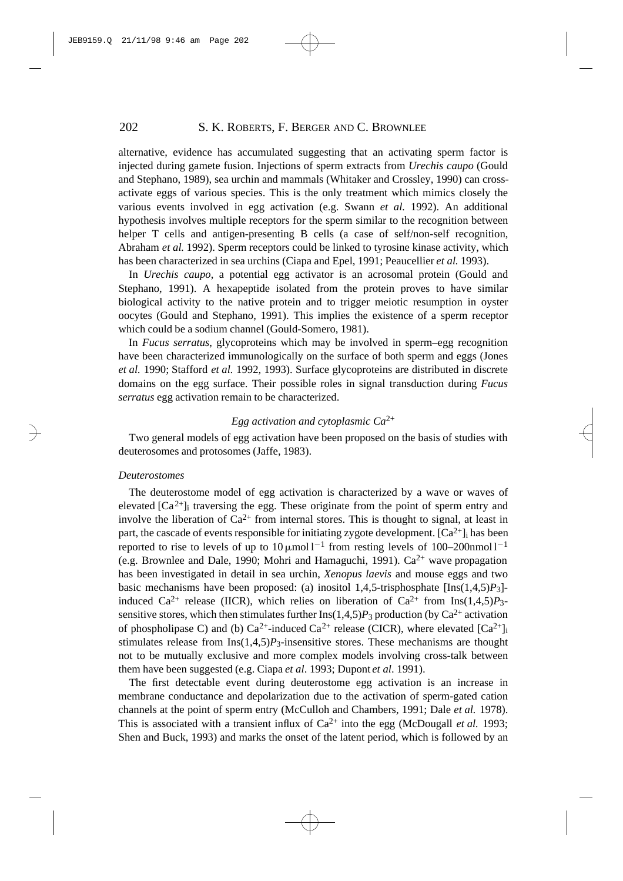alternative, evidence has accumulated suggesting that an activating sperm factor is injected during gamete fusion. Injections of sperm extracts from *Urechis caupo* (Gould and Stephano, 1989), sea urchin and mammals (Whitaker and Crossley, 1990) can crossactivate eggs of various species. This is the only treatment which mimics closely the various events involved in egg activation (e.g. Swann *et al.* 1992). An additional hypothesis involves multiple receptors for the sperm similar to the recognition between helper T cells and antigen-presenting B cells (a case of self/non-self recognition, Abraham *et al.* 1992). Sperm receptors could be linked to tyrosine kinase activity, which has been characterized in sea urchins (Ciapa and Epel, 1991; Peaucellier *et al.* 1993).

In *Urechis caupo*, a potential egg activator is an acrosomal protein (Gould and Stephano, 1991). A hexapeptide isolated from the protein proves to have similar biological activity to the native protein and to trigger meiotic resumption in oyster oocytes (Gould and Stephano, 1991). This implies the existence of a sperm receptor which could be a sodium channel (Gould-Somero, 1981).

In *Fucus serratus*, glycoproteins which may be involved in sperm–egg recognition have been characterized immunologically on the surface of both sperm and eggs (Jones *et al.* 1990; Stafford *et al.* 1992, 1993). Surface glycoproteins are distributed in discrete domains on the egg surface. Their possible roles in signal transduction during *Fucus serratus* egg activation remain to be characterized.

# *Egg activation and cytoplasmic Ca*2+

Two general models of egg activation have been proposed on the basis of studies with deuterosomes and protosomes (Jaffe, 1983).

### *Deuterostomes*

The deuterostome model of egg activation is characterized by a wave or waves of elevated  $[Ca^{2+}]$  traversing the egg. These originate from the point of sperm entry and involve the liberation of  $Ca^{2+}$  from internal stores. This is thought to signal, at least in part, the cascade of events responsible for initiating zygote development.  $[Ca^{2+}]_i$  has been reported to rise to levels of up to  $10 \mu$ mol l<sup>-1</sup> from resting levels of  $100-200$ nmol l<sup>-1</sup> (e.g. Brownlee and Dale, 1990; Mohri and Hamaguchi, 1991).  $Ca^{2+}$  wave propagation has been investigated in detail in sea urchin, *Xenopus laevis* and mouse eggs and two basic mechanisms have been proposed: (a) inositol 1,4,5-trisphosphate [Ins(1,4,5)*P*3] induced Ca<sup>2+</sup> release (IICR), which relies on liberation of Ca<sup>2+</sup> from Ins(1,4,5)*P*<sub>3</sub>sensitive stores, which then stimulates further  $\text{Ins}(1,4,5)P_3$  production (by Ca<sup>2+</sup> activation of phospholipase C) and (b)  $Ca^{2+}$ -induced  $Ca^{2+}$  release (CICR), where elevated  $[Ca^{2+}]$ <sub>i</sub> stimulates release from  $Ins(1,4,5)P_3$ -insensitive stores. These mechanisms are thought not to be mutually exclusive and more complex models involving cross-talk between them have been suggested (e.g. Ciapa *et al*. 1993; Dupont *et al*. 1991).

The first detectable event during deuterostome egg activation is an increase in membrane conductance and depolarization due to the activation of sperm-gated cation channels at the point of sperm entry (McCulloh and Chambers, 1991; Dale *et al.* 1978). This is associated with a transient influx of  $Ca^{2+}$  into the egg (McDougall *et al.* 1993; Shen and Buck, 1993) and marks the onset of the latent period, which is followed by an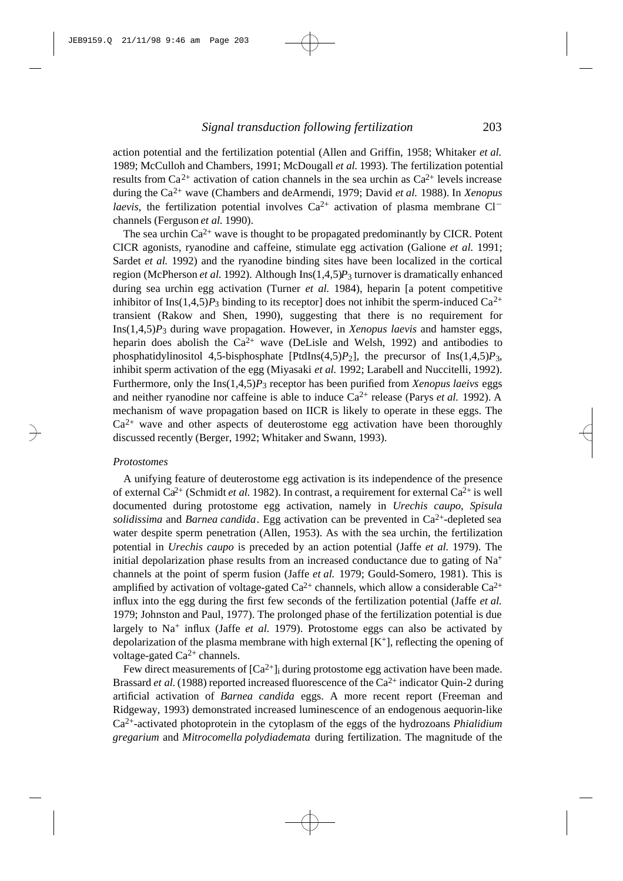action potential and the fertilization potential (Allen and Griffin, 1958; Whitaker *et al.* 1989; McCulloh and Chambers, 1991; McDougall *et al.* 1993). The fertilization potential results from  $Ca^{2+}$  activation of cation channels in the sea urchin as  $Ca^{2+}$  levels increase during the Ca2+ wave (Chambers and deArmendi, 1979; David *et al.* 1988). In *Xenopus laevis*, the fertilization potential involves  $Ca^{2+}$  activation of plasma membrane  $Cl^$ channels (Ferguson *et al.* 1990).

The sea urchin  $Ca^{2+}$  wave is thought to be propagated predominantly by CICR. Potent CICR agonists, ryanodine and caffeine, stimulate egg activation (Galione *et al.* 1991; Sardet *et al.* 1992) and the ryanodine binding sites have been localized in the cortical region (McPherson *et al.* 1992). Although Ins(1,4,5)*P*3 turnover is dramatically enhanced during sea urchin egg activation (Turner *et al.* 1984), heparin [a potent competitive inhibitor of Ins $(1,4,5)P_3$  binding to its receptor] does not inhibit the sperm-induced Ca<sup>2+</sup> transient (Rakow and Shen, 1990), suggesting that there is no requirement for Ins(1,4,5)*P*3 during wave propagation. However, in *Xenopus laevis* and hamster eggs, heparin does abolish the  $Ca^{2+}$  wave (DeLisle and Welsh, 1992) and antibodies to phosphatidylinositol 4,5-bisphosphate  $[Ptdlns(4,5)P_2]$ , the precursor of  $Ins(1,4,5)P_3$ , inhibit sperm activation of the egg (Miyasaki *et al.* 1992; Larabell and Nuccitelli, 1992). Furthermore, only the Ins(1,4,5)*P*3 receptor has been purified from *Xenopus laeivs* eggs and neither ryanodine nor caffeine is able to induce  $Ca^{2+}$  release (Parys *et al.* 1992). A mechanism of wave propagation based on IICR is likely to operate in these eggs. The  $Ca<sup>2+</sup>$  wave and other aspects of deuterostome egg activation have been thoroughly discussed recently (Berger, 1992; Whitaker and Swann, 1993).

### *Protostomes*

A unifying feature of deuterostome egg activation is its independence of the presence of external  $Ca^{2+}$  (Schmidt *et al.* 1982). In contrast, a requirement for external  $Ca^{2+}$  is well documented during protostome egg activation, namely in *Urechis caupo*, *Spisula solidissima* and *Barnea candida*. Egg activation can be prevented in Ca<sup>2+</sup>-depleted sea water despite sperm penetration (Allen, 1953). As with the sea urchin, the fertilization potential in *Urechis caupo* is preceded by an action potential (Jaffe *et al.* 1979). The initial depolarization phase results from an increased conductance due to gating of  $Na<sup>+</sup>$ channels at the point of sperm fusion (Jaffe *et al.* 1979; Gould-Somero, 1981). This is amplified by activation of voltage-gated  $Ca^{2+}$  channels, which allow a considerable  $Ca^{2+}$ influx into the egg during the first few seconds of the fertilization potential (Jaffe *et al.* 1979; Johnston and Paul, 1977). The prolonged phase of the fertilization potential is due largely to Na<sup>+</sup> influx (Jaffe *et al.* 1979). Protostome eggs can also be activated by depolarization of the plasma membrane with high external  $[K^+]$ , reflecting the opening of voltage-gated  $Ca^{2+}$  channels.

Few direct measurements of  $[Ca^{2+}]$  during protostome egg activation have been made. Brassard *et al.* (1988) reported increased fluorescence of the  $Ca^{2+}$  indicator Quin-2 during artificial activation of *Barnea candida* eggs. A more recent report (Freeman and Ridgeway, 1993) demonstrated increased luminescence of an endogenous aequorin-like Ca2+-activated photoprotein in the cytoplasm of the eggs of the hydrozoans *Phialidium gregarium* and *Mitrocomella polydiademata* during fertilization. The magnitude of the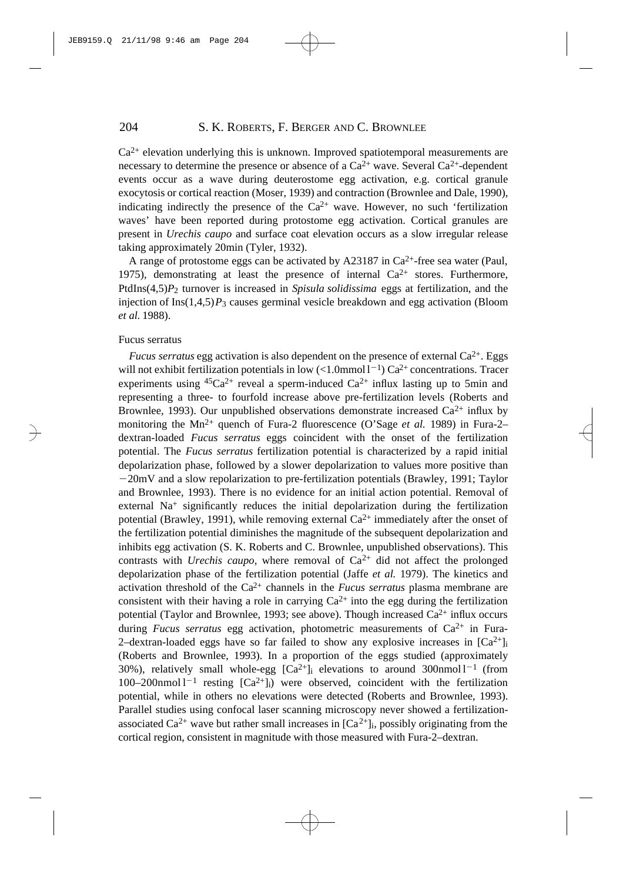$Ca<sup>2+</sup>$  elevation underlying this is unknown. Improved spatiotemporal measurements are necessary to determine the presence or absence of a  $Ca^{2+}$  wave. Several  $Ca^{2+}$ -dependent events occur as a wave during deuterostome egg activation, e.g. cortical granule exocytosis or cortical reaction (Moser, 1939) and contraction (Brownlee and Dale, 1990), indicating indirectly the presence of the  $Ca^{2+}$  wave. However, no such 'fertilization waves' have been reported during protostome egg activation. Cortical granules are present in *Urechis caupo* and surface coat elevation occurs as a slow irregular release taking approximately 20min (Tyler, 1932).

A range of protostome eggs can be activated by A23187 in  $Ca^{2+}$ -free sea water (Paul, 1975), demonstrating at least the presence of internal  $Ca^{2+}$  stores. Furthermore, PtdIns(4,5)*P*2 turnover is increased in *Spisula solidissima* eggs at fertilization, and the injection of  $\text{Ins}(1,4,5)P_3$  causes germinal vesicle breakdown and egg activation (Bloom *et al.* 1988).

### Fucus serratus

*Fucus serratus* egg activation is also dependent on the presence of external  $Ca^{2+}$ . Eggs will not exhibit fertilization potentials in low  $\left($ <1.0mmol $1^{-1}$ ) Ca<sup>2+</sup> concentrations. Tracer experiments using  $45Ca^{2+}$  reveal a sperm-induced  $Ca^{2+}$  influx lasting up to 5min and representing a three- to fourfold increase above pre-fertilization levels (Roberts and Brownlee, 1993). Our unpublished observations demonstrate increased  $Ca^{2+}$  influx by monitoring the Mn<sup>2+</sup> quench of Fura-2 fluorescence (O'Sage *et al.* 1989) in Fura-2– dextran-loaded *Fucus serratus* eggs coincident with the onset of the fertilization potential. The *Fucus serratus* fertilization potential is characterized by a rapid initial depolarization phase, followed by a slower depolarization to values more positive than  $-20$ mV and a slow repolarization to pre-fertilization potentials (Brawley, 1991; Taylor and Brownlee, 1993). There is no evidence for an initial action potential. Removal of external Na<sup>+</sup> significantly reduces the initial depolarization during the fertilization potential (Brawley, 1991), while removing external  $Ca^{2+}$  immediately after the onset of the fertilization potential diminishes the magnitude of the subsequent depolarization and inhibits egg activation (S. K. Roberts and C. Brownlee, unpublished observations). This contrasts with *Urechis caupo*, where removal of  $Ca^{2+}$  did not affect the prolonged depolarization phase of the fertilization potential (Jaffe *et al.* 1979). The kinetics and activation threshold of the Ca2+ channels in the *Fucus serratus* plasma membrane are consistent with their having a role in carrying  $Ca^{2+}$  into the egg during the fertilization potential (Taylor and Brownlee, 1993; see above). Though increased  $Ca^{2+}$  influx occurs during *Fucus serratus* egg activation, photometric measurements of Ca<sup>2+</sup> in Fura-2–dextran-loaded eggs have so far failed to show any explosive increases in  $[Ca^{2+}]_i$ (Roberts and Brownlee, 1993). In a proportion of the eggs studied (approximately 30%), relatively small whole-egg  $[Ca^{2+}]$  elevations to around 300nmol  $1^{-1}$  (from 100–200nmol  $1^{-1}$  resting  $[Ca^{2+}]_i$ ) were observed, coincident with the fertilization potential, while in others no elevations were detected (Roberts and Brownlee, 1993). Parallel studies using confocal laser scanning microscopy never showed a fertilizationassociated Ca<sup>2+</sup> wave but rather small increases in  $[Ca^{2+}]_i$ , possibly originating from the cortical region, consistent in magnitude with those measured with Fura-2–dextran.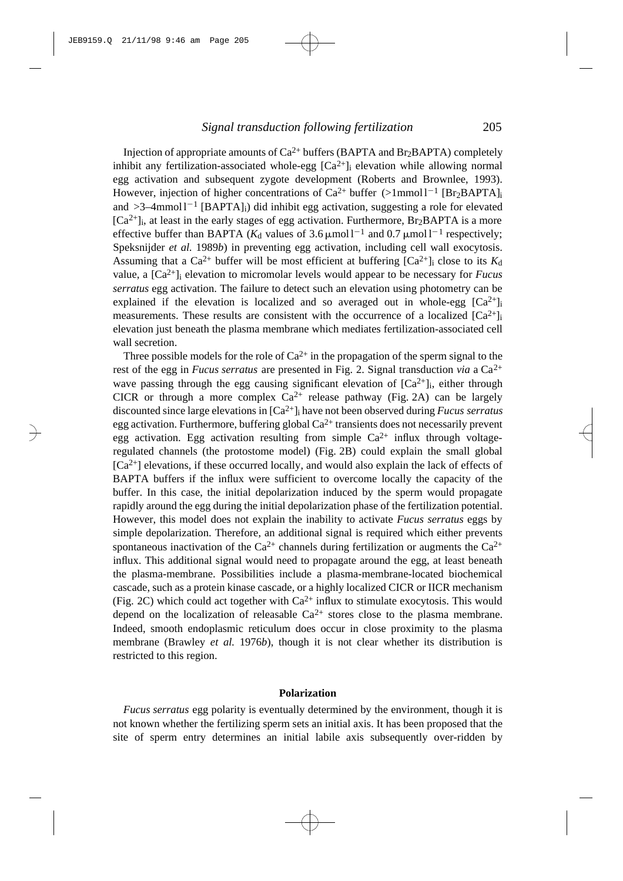Injection of appropriate amounts of  $Ca^{2+}$  buffers (BAPTA and Br<sub>2</sub>BAPTA) completely inhibit any fertilization-associated whole-egg  $[Ca^{2+}]$  elevation while allowing normal egg activation and subsequent zygote development (Roberts and Brownlee, 1993). However, injection of higher concentrations of  $Ca^{2+}$  buffer  $(>1$ mmol $1^{-1}$  [Br<sub>2</sub>BAPTA]<sub>i</sub> and  $>3$ -4mmol1<sup>-1</sup> [BAPTA]<sub>i</sub>) did inhibit egg activation, suggesting a role for elevated  $[Ca<sup>2+</sup>]$ ; at least in the early stages of egg activation. Furthermore, Br<sub>2</sub>BAPTA is a more effective buffer than BAPTA ( $K_d$  values of 3.6  $\mu$ mol l<sup>-1</sup> and 0.7  $\mu$ mol l<sup>-1</sup> respectively; Speksnijder *et al.* 1989*b*) in preventing egg activation, including cell wall exocytosis. Assuming that a  $Ca^{2+}$  buffer will be most efficient at buffering  $[Ca^{2+}]_i$  close to its  $K_d$ value, a [Ca2+]<sup>i</sup> elevation to micromolar levels would appear to be necessary for *Fucus serratus* egg activation. The failure to detect such an elevation using photometry can be explained if the elevation is localized and so averaged out in whole-egg  $[Ca^{2+}]_i$ measurements. These results are consistent with the occurrence of a localized  $[Ca^{2+}]_i$ elevation just beneath the plasma membrane which mediates fertilization-associated cell wall secretion.

Three possible models for the role of  $Ca^{2+}$  in the propagation of the sperm signal to the rest of the egg in *Fucus serratus* are presented in Fig. 2. Signal transduction *via* a Ca2+ wave passing through the egg causing significant elevation of  $[Ca^{2+}]_i$ , either through CICR or through a more complex  $Ca^{2+}$  release pathway (Fig. 2A) can be largely discounted since large elevations in [Ca2+]<sup>i</sup> have not been observed during *Fucus serratus* egg activation. Furthermore, buffering global  $Ca^{2+}$  transients does not necessarily prevent egg activation. Egg activation resulting from simple  $Ca^{2+}$  influx through voltageregulated channels (the protostome model) (Fig. 2B) could explain the small global  $[Ca<sup>2+</sup>]$  elevations, if these occurred locally, and would also explain the lack of effects of BAPTA buffers if the influx were sufficient to overcome locally the capacity of the buffer. In this case, the initial depolarization induced by the sperm would propagate rapidly around the egg during the initial depolarization phase of the fertilization potential. However, this model does not explain the inability to activate *Fucus serratus* eggs by simple depolarization. Therefore, an additional signal is required which either prevents spontaneous inactivation of the  $Ca^{2+}$  channels during fertilization or augments the  $Ca^{2+}$ influx. This additional signal would need to propagate around the egg, at least beneath the plasma-membrane. Possibilities include a plasma-membrane-located biochemical cascade, such as a protein kinase cascade, or a highly localized CICR or IICR mechanism (Fig. 2C) which could act together with  $Ca^{2+}$  influx to stimulate exocytosis. This would depend on the localization of releasable  $Ca^{2+}$  stores close to the plasma membrane. Indeed, smooth endoplasmic reticulum does occur in close proximity to the plasma membrane (Brawley *et al.* 1976*b*), though it is not clear whether its distribution is restricted to this region.

### **Polarization**

*Fucus serratus* egg polarity is eventually determined by the environment, though it is not known whether the fertilizing sperm sets an initial axis. It has been proposed that the site of sperm entry determines an initial labile axis subsequently over-ridden by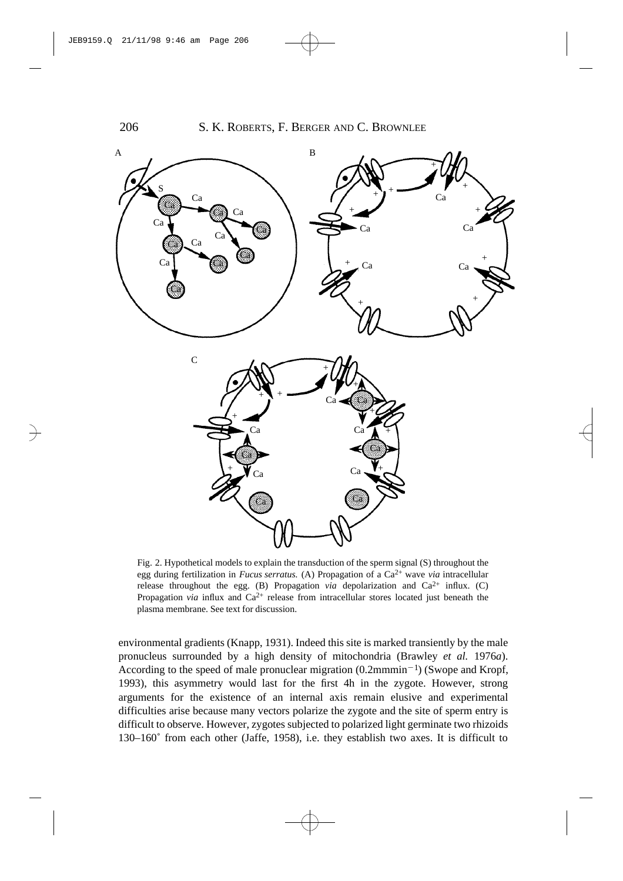

Fig. 2. Hypothetical models to explain the transduction of the sperm signal (S) throughout the egg during fertilization in *Fucus serratus.* (A) Propagation of a Ca2+ wave *via* intracellular release throughout the egg. (B) Propagation *via* depolarization and  $Ca^{2+}$  influx. (C) Propagation *via* influx and  $Ca^{2+}$  release from intracellular stores located just beneath the plasma membrane. See text for discussion.

environmental gradients (Knapp, 1931). Indeed this site is marked transiently by the male pronucleus surrounded by a high density of mitochondria (Brawley *et al.* 1976*a*). According to the speed of male pronuclear migration  $(0.2 \text{mmmin}^{-1})$  (Swope and Kropf, 1993), this asymmetry would last for the first 4h in the zygote. However, strong arguments for the existence of an internal axis remain elusive and experimental difficulties arise because many vectors polarize the zygote and the site of sperm entry is difficult to observe. However, zygotes subjected to polarized light germinate two rhizoids 130–160˚ from each other (Jaffe, 1958), i.e. they establish two axes. It is difficult to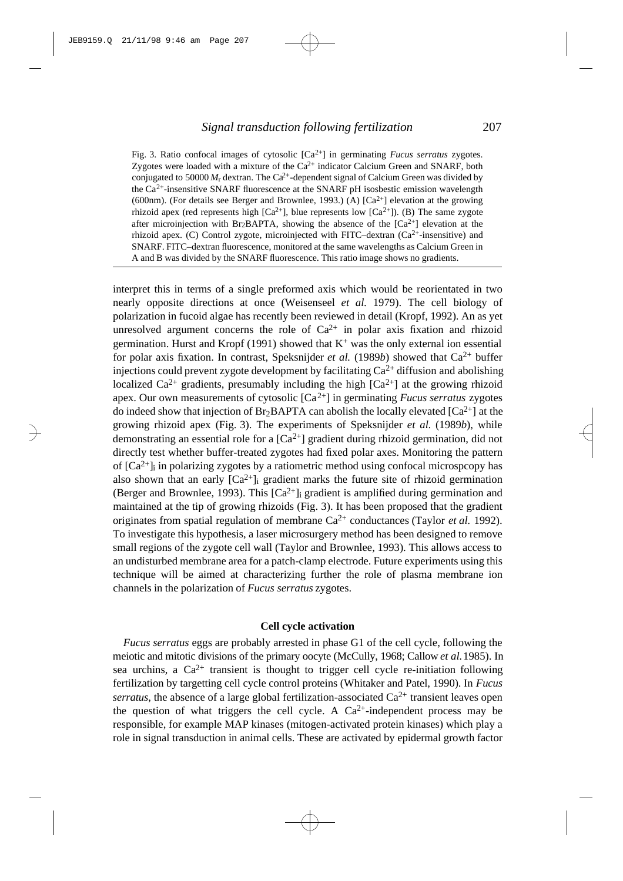Fig. 3. Ratio confocal images of cytosolic [Ca2+] in germinating *Fucus serratus* zygotes. Zygotes were loaded with a mixture of the  $Ca<sup>2+</sup>$  indicator Calcium Green and SNARF, both conjugated to 50000  $M_r$  dextran. The Ca<sup>2+</sup>-dependent signal of Calcium Green was divided by the Ca2+-insensitive SNARF fluorescence at the SNARF pH isosbestic emission wavelength (600nm). (For details see Berger and Brownlee, 1993.) (A)  $\lceil Ca^{2+} \rceil$  elevation at the growing rhizoid apex (red represents high  $[Ca^{2+}]$ , blue represents low  $[Ca^{2+}]$ ). (B) The same zygote after microinjection with Br<sub>2</sub>BAPTA, showing the absence of the  $[Ca^{2+}]$  elevation at the rhizoid apex. (C) Control zygote, microinjected with FITC-dextran  $(Ca<sup>2+</sup>$ -insensitive) and SNARF. FITC–dextran fluorescence, monitored at the same wavelengths as Calcium Green in A and B was divided by the SNARF fluorescence. This ratio image shows no gradients.

interpret this in terms of a single preformed axis which would be reorientated in two nearly opposite directions at once (Weisenseel *et al.* 1979). The cell biology of polarization in fucoid algae has recently been reviewed in detail (Kropf, 1992). An as yet unresolved argument concerns the role of  $Ca^{2+}$  in polar axis fixation and rhizoid germination. Hurst and Kropf (1991) showed that  $K^+$  was the only external ion essential for polar axis fixation. In contrast, Speksnijder *et al.* (1989*b*) showed that  $Ca^{2+}$  buffer injections could prevent zygote development by facilitating  $Ca^{2+}$  diffusion and abolishing localized  $Ca^{2+}$  gradients, presumably including the high  $[Ca^{2+}]$  at the growing rhizoid apex. Our own measurements of cytosolic [Ca2+] in germinating *Fucus serratus* zygotes do indeed show that injection of  $Br_2BAPTA$  can abolish the locally elevated  $[Ca^{2+}]$  at the growing rhizoid apex (Fig. 3). The experiments of Speksnijder *et al.* (1989*b*), while demonstrating an essential role for a  $[Ca<sup>2+</sup>]$  gradient during rhizoid germination, did not directly test whether buffer-treated zygotes had fixed polar axes. Monitoring the pattern of  $[Ca^{2+}]$ <sub>i</sub> in polarizing zygotes by a ratiometric method using confocal microspcopy has also shown that an early  $[Ca^{2+}]$ <sub>i</sub> gradient marks the future site of rhizoid germination (Berger and Brownlee, 1993). This  $[Ca^{2+}]}$  gradient is amplified during germination and maintained at the tip of growing rhizoids (Fig. 3). It has been proposed that the gradient originates from spatial regulation of membrane Ca2+ conductances (Taylor *et al.* 1992). To investigate this hypothesis, a laser microsurgery method has been designed to remove small regions of the zygote cell wall (Taylor and Brownlee, 1993). This allows access to an undisturbed membrane area for a patch-clamp electrode. Future experiments using this technique will be aimed at characterizing further the role of plasma membrane ion channels in the polarization of *Fucus serratus* zygotes.

# **Cell cycle activation**

*Fucus serratus* eggs are probably arrested in phase G1 of the cell cycle, following the meiotic and mitotic divisions of the primary oocyte (McCully, 1968; Callow *et al.*1985). In sea urchins, a  $Ca^{2+}$  transient is thought to trigger cell cycle re-initiation following fertilization by targetting cell cycle control proteins (Whitaker and Patel, 1990). In *Fucus serratus*, the absence of a large global fertilization-associated  $Ca^{2+}$  transient leaves open the question of what triggers the cell cycle. A  $Ca^{2+}$ -independent process may be responsible, for example MAP kinases (mitogen-activated protein kinases) which play a role in signal transduction in animal cells. These are activated by epidermal growth factor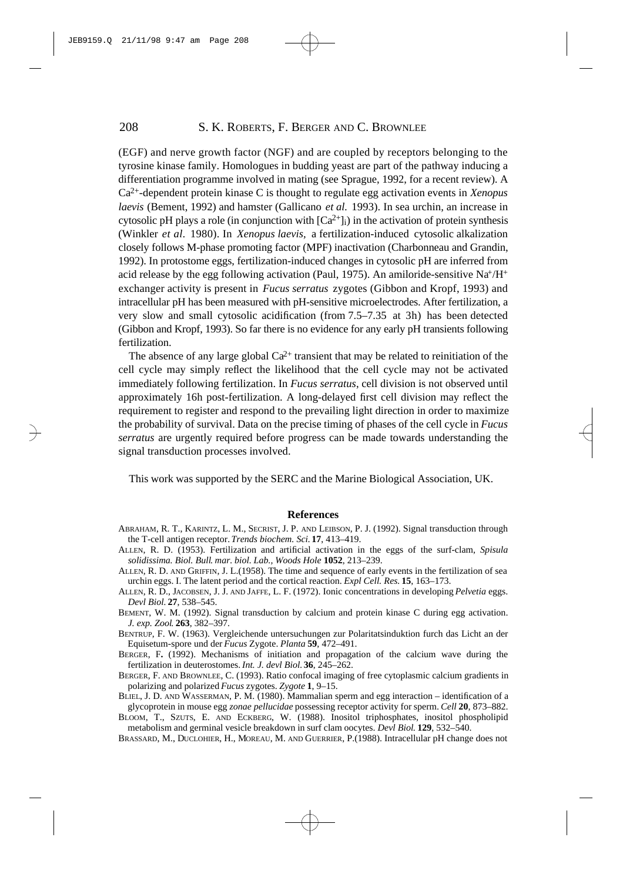(EGF) and nerve growth factor (NGF) and are coupled by receptors belonging to the tyrosine kinase family. Homologues in budding yeast are part of the pathway inducing a differentiation programme involved in mating (see Sprague, 1992, for a recent review). A  $Ca<sup>2+</sup>$ -dependent protein kinase C is thought to regulate egg activation events in *Xenopus laevis* (Bement, 1992) and hamster (Gallicano *et al.* 1993). In sea urchin, an increase in cytosolic pH plays a role (in conjunction with  $[Ca^{2+}]_i$ ) in the activation of protein synthesis (Winkler *et al.* 1980). In *Xenopus laevis,* a fertilization-induced cytosolic alkalization closely follows M-phase promoting factor (MPF) inactivation (Charbonneau and Grandin, 1992). In protostome eggs, fertilization-induced changes in cytosolic pH are inferred from acid release by the egg following activation (Paul, 1975). An amiloride-sensitive Na+/ $H^+$ exchanger activity is present in *Fucus serratus* zygotes (Gibbon and Kropf, 1993) and intracellular pH has been measured with pH-sensitive microelectrodes. After fertilization, a very slow and small cytosolic acidification (from 7.5–7.35 at 3h) has been detected (Gibbon and Kropf, 1993). So far there is no evidence for any early pH transients following fertilization.

The absence of any large global  $Ca^{2+}$  transient that may be related to reinitiation of the cell cycle may simply reflect the likelihood that the cell cycle may not be activated immediately following fertilization. In *Fucus serratus*, cell division is not observed until approximately 16h post-fertilization. A long-delayed first cell division may reflect the requirement to register and respond to the prevailing light direction in order to maximize the probability of survival. Data on the precise timing of phases of the cell cycle in *Fucus serratus* are urgently required before progress can be made towards understanding the signal transduction processes involved.

This work was supported by the SERC and the Marine Biological Association, UK.

#### **References**

- ABRAHAM, R. T., KARINTZ, L. M., SECRIST, J. P. AND LEIBSON, P. J. (1992). Signal transduction through the T-cell antigen receptor. *Trends biochem. Sci.* **17**, 413–419.
- ALLEN, R. D. (1953). Fertilization and artificial activation in the eggs of the surf-clam, *Spisula solidissima. Biol. Bull*. *mar. biol. Lab., Woods Hole* **1052**, 213–239.
- ALLEN, R. D. AND GRIFFIN, J. L.(1958). The time and sequence of early events in the fertilization of sea urchin eggs. I. The latent period and the cortical reaction. *Expl Cell. Res.* **15**, 163–173.
- ALLEN, R. D., JACOBSEN, J. J. AND JAFFE, L. F. (1972). Ionic concentrations in developing *Pelvetia* eggs. *Devl Biol.* **27**, 538–545.
- BEMENT, W. M. (1992). Signal transduction by calcium and protein kinase C during egg activation. *J. exp. Zool*. **263**, 382–397.
- BENTRUP, F. W. (1963). Vergleichende untersuchungen zur Polaritatsinduktion furch das Licht an der Equisetum-spore und der *Fucus* Zygote. *Planta* **59**, 472–491.
- BERGER, F**.** (1992). Mechanisms of initiation and propagation of the calcium wave during the fertilization in deuterostomes. *Int. J. devl Biol.* **36**, 245–262.
- BERGER, F. AND BROWNLEE, C. (1993). Ratio confocal imaging of free cytoplasmic calcium gradients in polarizing and polarized *Fucus* zygotes. *Zygote* **1**, 9–15.
- BLIEL, J. D. AND WASSERMAN, P. M. (1980). Mammalian sperm and egg interaction identification of a glycoprotein in mouse egg *zonae pellucidae* possessing receptor activity for sperm. *Cell* **20**, 873–882.
- BLOOM, T., SZUTS, E. AND ECKBERG, W. (1988). Inositol triphosphates, inositol phospholipid metabolism and germinal vesicle breakdown in surf clam oocytes. *Devl Biol*. **129**, 532–540.
- BRASSARD, M., DUCLOHIER, H., MOREAU, M. AND GUERRIER, P.(1988). Intracellular pH change does not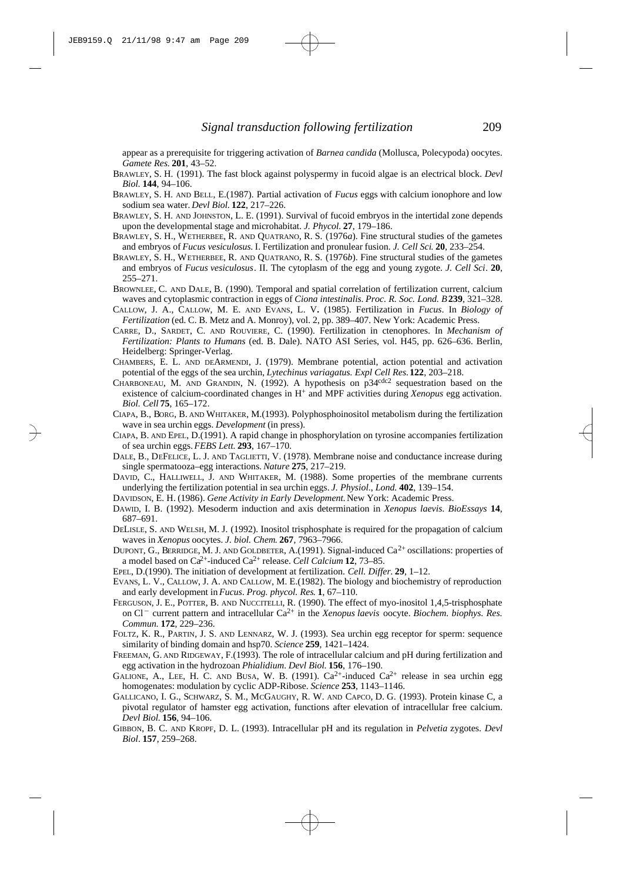appear as a prerequisite for triggering activation of *Barnea candida* (Mollusca, Polecypoda) oocytes. *Gamete Res*. **201**, 43–52.

- BRAWLEY, S. H. (1991). The fast block against polyspermy in fucoid algae is an electrical block. *Devl Biol.* **144**, 94–106.
- BRAWLEY, S. H. AND BELL, E.(1987). Partial activation of *Fucus* eggs with calcium ionophore and low sodium sea water. *Devl Biol.* **122**, 217–226.
- BRAWLEY, S. H. AND JOHNSTON, L. E. (1991). Survival of fucoid embryos in the intertidal zone depends upon the developmental stage and microhabitat. *J. Phycol*. **27**, 179–186.
- BRAWLEY, S. H., WETHERBEE, R. AND QUATRANO, R. S. (1976*a*). Fine structural studies of the gametes and embryos of *Fucus vesiculosus.* I. Fertilization and pronulear fusion. *J. Cell Sci*. **20**, 233–254.
- BRAWLEY, S. H., WETHERBEE, R. AND QUATRANO, R. S. (1976*b*). Fine structural studies of the gametes and embryos of *Fucus vesiculosus*. II. The cytoplasm of the egg and young zygote. *J. Cell Sci*. **20**, 255–271.
- BROWNLEE, C. AND DALE, B. (1990). Temporal and spatial correlation of fertilization current, calcium waves and cytoplasmic contraction in eggs of *Ciona intestinalis*. *Proc. R. Soc. Lond. B***239**, 321–328.
- CALLOW, J. A., CALLOW, M. E. AND EVANS, L. V**.** (1985). Fertilization in *Fucus*. In *Biology of Fertilization* (ed. C. B. Metz and A. Monroy), vol. 2, pp. 389–407. New York: Academic Press.
- CARRE, D., SARDET, C. AND ROUVIERE, C. (1990). Fertilization in ctenophores. In *Mechanism of Fertilization: Plants to Humans* (ed. B. Dale). NATO ASI Series, vol. H45, pp. 626–636. Berlin, Heidelberg: Springer-Verlag.
- CHAMBERS, E. L. AND DEARMENDI, J. (1979). Membrane potential, action potential and activation potential of the eggs of the sea urchin, *Lytechinus variagatus. Expl Cell Res.***122**, 203–218.
- CHARBONEAU, M. AND GRANDIN, N. (1992). A hypothesis on p34cdc2 sequestration based on the existence of calcium-coordinated changes in H<sup>+</sup> and MPF activities during *Xenopus* egg activation. *Biol. Cell* **75**, 165–172.
- CIAPA, B., BORG, B. AND WHITAKER, M.(1993). Polyphosphoinositol metabolism during the fertilization wave in sea urchin eggs. *Development* (in press).
- CIAPA, B. AND EPEL, D.(1991). A rapid change in phosphorylation on tyrosine accompanies fertilization of sea urchin eggs. *FEBS Lett*. **293**, 167–170.
- DALE, B., DEFELICE, L. J. AND TAGLIETTI, V. (1978). Membrane noise and conductance increase during single spermatooza–egg interactions. *Nature* **275**, 217–219.
- DAVID, C., HALLIWELL, J. AND WHITAKER, M. (1988). Some properties of the membrane currents underlying the fertilization potential in sea urchin eggs. *J. Physiol.*, *Lond.* **402**, 139–154.
- DAVIDSON, E. H. (1986). *Gene Activity in Early Development.*New York: Academic Press.
- DAWID, I. B. (1992). Mesoderm induction and axis determination in *Xenopus laevis*. *BioEssays* **14**, 687–691.
- DELISLE, S. AND WELSH, M. J. (1992). Inositol trisphosphate is required for the propagation of calcium waves in *Xenopus* oocytes. *J. biol. Chem*. **267**, 7963–7966.
- DUPONT, G., BERRIDGE, M. J. AND GOLDBETER, A.(1991). Signal-induced  $Ca^{2+}$  oscillations: properties of a model based on Ca2+-induced Ca2+ release. *Cell Calcium* **12**, 73–85.
- EPEL, D.(1990). The initiation of development at fertilization. *Cell. Differ*. **29**, 1–12.
- EVANS, L. V., CALLOW, J. A. AND CALLOW, M. E.(1982). The biology and biochemistry of reproduction and early development in *Fucus*. *Prog. phycol. Res*. **1**, 67–110.
- FERGUSON, J. E., POTTER, B. AND NUCCITELLI, R. (1990). The effect of myo-inositol 1,4,5-trisphosphate on Cl<sup>-</sup> current pattern and intracellular Ca<sup>2+</sup> in the *Xenopus laevis* oocyte. *Biochem. biophys. Res. Commun.* **172**, 229–236.
- FOLTZ, K. R., PARTIN, J. S. AND LENNARZ, W. J. (1993). Sea urchin egg receptor for sperm: sequence similarity of binding domain and hsp70. *Science* **259**, 1421–1424.
- FREEMAN, G. AND RIDGEWAY, F.(1993). The role of intracellular calcium and pH during fertilization and egg activation in the hydrozoan *Phialidium*. *Devl Biol*. **156**, 176–190.
- GALIONE, A., LEE, H. C. AND BUSA, W. B. (1991).  $Ca^{2+}$ -induced  $Ca^{2+}$  release in sea urchin egg homogenates: modulation by cyclic ADP-Ribose. *Science* **253**, 1143–1146.
- GALLICANO, I. G., SCHWARZ, S. M., MCGAUGHY, R. W. AND CAPCO, D. G. (1993). Protein kinase C, a pivotal regulator of hamster egg activation, functions after elevation of intracellular free calcium. *Devl Biol*. **156**, 94–106.
- GIBBON, B. C. AND KROPF, D. L. (1993). Intracellular pH and its regulation in *Pelvetia* zygotes. *Devl Biol*. **157**, 259–268.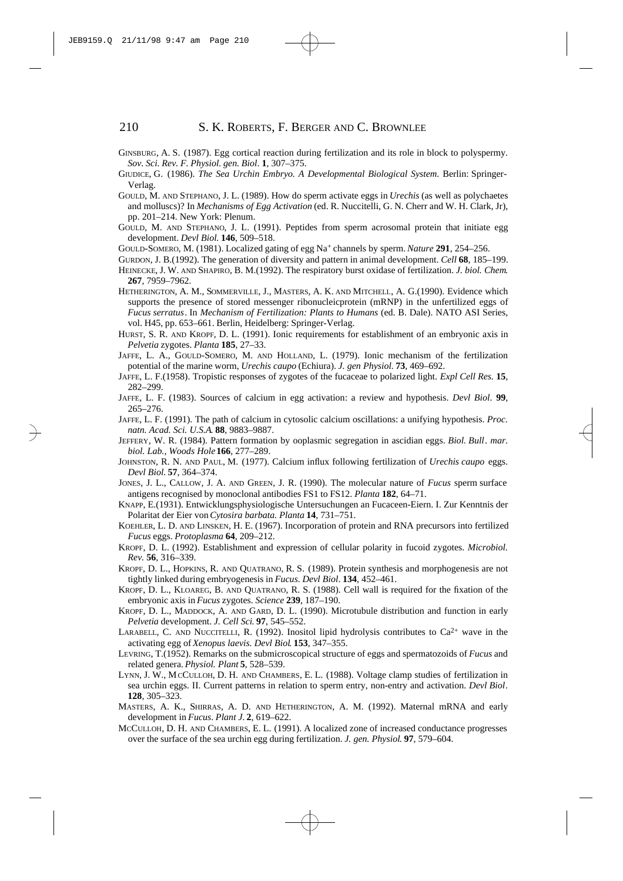- GINSBURG, A. S. (1987). Egg cortical reaction during fertilization and its role in block to polyspermy. *Sov. Sci. Rev. F. Physiol. gen. Biol*. **1**, 307–375.
- GIUDICE, G. (1986). *The Sea Urchin Embryo. A Developmental Biological System.* Berlin: Springer-Verlag.
- GOULD, M. AND STEPHANO, J. L. (1989). How do sperm activate eggs in *Urechis* (as well as polychaetes and molluscs)? In *Mechanisms of Egg Activation* (ed. R. Nuccitelli, G. N. Cherr and W. H. Clark, Jr), pp. 201–214. New York: Plenum.
- GOULD, M. AND STEPHANO, J. L. (1991). Peptides from sperm acrosomal protein that initiate egg development. *Devl Biol*. **146**, 509–518.
- GOULD-SOMERO, M. (1981). Localized gating of egg Na<sup>+</sup> channels by sperm. *Nature* **291**, 254–256.
- GURDON, J. B.(1992). The generation of diversity and pattern in animal development. *Cell* **68**, 185–199.
- HEINECKE, J. W. AND SHAPIRO, B. M.(1992). The respiratory burst oxidase of fertilization. *J. biol. Chem*. **267**, 7959–7962.
- HETHERINGTON, A. M., SOMMERVILLE, J., MASTERS, A. K. AND MITCHELL, A. G.(1990). Evidence which supports the presence of stored messenger ribonucleicprotein (mRNP) in the unfertilized eggs of *Fucus serratus*. In *Mechanism of Fertilization: Plants to Humans* (ed. B. Dale). NATO ASI Series, vol. H45, pp. 653–661. Berlin, Heidelberg: Springer-Verlag.
- HURST, S. R. AND KROPF, D. L. (1991). Ionic requirements for establishment of an embryonic axis in *Pelvetia* zygotes. *Planta* **185**, 27–33.
- JAFFE, L. A., GOULD-SOMERO, M. AND HOLLAND, L. (1979). Ionic mechanism of the fertilization potential of the marine worm, *Urechis caupo* (Echiura). *J. gen Physiol.* **73**, 469–692.
- JAFFE, L. F.(1958). Tropistic responses of zygotes of the fucaceae to polarized light. *Expl Cell Res.* **15**, 282–299.
- JAFFE, L. F. (1983). Sources of calcium in egg activation: a review and hypothesis. *Devl Biol*. **99**, 265–276.
- JAFFE, L. F. (1991). The path of calcium in cytosolic calcium oscillations: a unifying hypothesis. *Proc. natn. Acad. Sci. U.S.A*. **88**, 9883–9887.
- JEFFERY, W. R. (1984). Pattern formation by ooplasmic segregation in ascidian eggs. *Biol. Bull*. *mar. biol. Lab., Woods Hole***166**, 277–289.
- JOHNSTON, R. N. AND PAUL, M. (1977). Calcium influx following fertilization of *Urechis caupo* eggs. *Devl Biol.* **57**, 364–374.
- JONES, J. L., CALLOW, J. A. AND GREEN, J. R. (1990). The molecular nature of *Fucus* sperm surface antigens recognised by monoclonal antibodies FS1 to FS12. *Planta* **182**, 64–71.
- KNAPP, E.(1931). Entwicklungsphysiologische Untersuchungen an Fucaceen-Eiern. I. Zur Kenntnis der Polaritat der Eier von *Cytosira barbata. Planta* **14**, 731–751.
- KOEHLER, L. D. AND LINSKEN, H. E. (1967). Incorporation of protein and RNA precursors into fertilized *Fucus* eggs. *Protoplasma* **64**, 209–212.
- KROPF, D. L. (1992). Establishment and expression of cellular polarity in fucoid zygotes. *Microbiol. Rev.* **56**, 316–339.
- KROPF, D. L., HOPKINS, R. AND QUATRANO, R. S. (1989). Protein synthesis and morphogenesis are not tightly linked during embryogenesis in *Fucus*. *Devl Biol*. **134**, 452–461.
- KROPF, D. L., KLOAREG, B. AND QUATRANO, R. S. (1988). Cell wall is required for the fixation of the embryonic axis in *Fucus* zygotes. *Science* **239**, 187–190.
- KROPF, D. L., MADDOCK, A. AND GARD, D. L. (1990). Microtubule distribution and function in early *Pelvetia* development. *J. Cell Sci*. **97**, 545–552.
- LARABELL, C. AND NUCCITELLI, R. (1992). Inositol lipid hydrolysis contributes to  $Ca^{2+}$  wave in the activating egg of *Xenopus laevis. Devl Biol*. **153**, 347–355.
- LEVRING, T.(1952). Remarks on the submicroscopical structure of eggs and spermatozoids of *Fucus* and related genera. *Physiol. Plant* **5**, 528–539.
- LYNN, J. W., MCCULLOH, D. H. AND CHAMBERS, E. L. (1988). Voltage clamp studies of fertilization in sea urchin eggs. II. Current patterns in relation to sperm entry, non-entry and activation. *Devl Biol*. **128**, 305–323.
- MASTERS, A. K., SHIRRAS, A. D. AND HETHERINGTON, A. M. (1992). Maternal mRNA and early development in *Fucus*. *Plant J.* **2**, 619–622.
- MCCULLOH, D. H. AND CHAMBERS, E. L. (1991). A localized zone of increased conductance progresses over the surface of the sea urchin egg during fertilization. *J. gen. Physiol*. **97**, 579–604.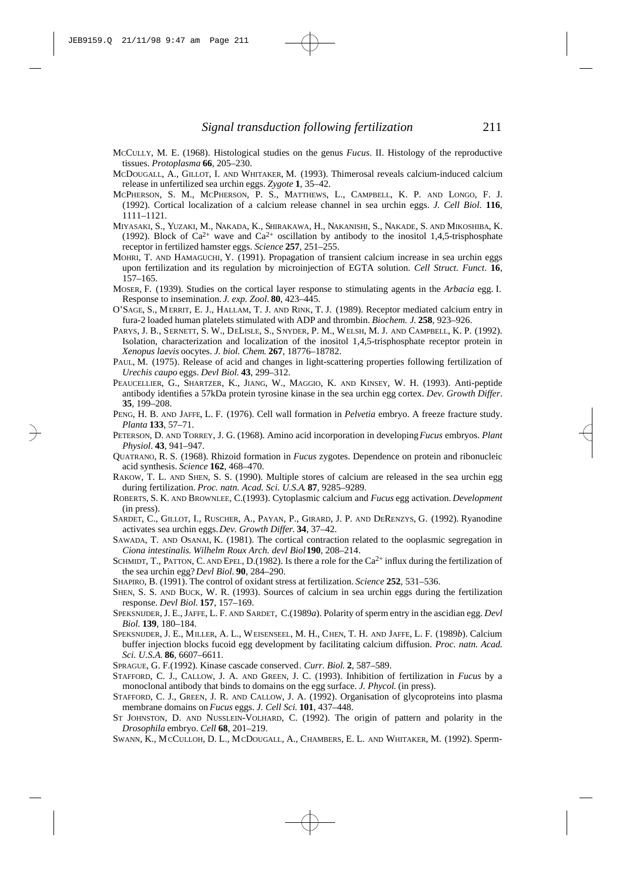- MCCULLY, M. E. (1968). Histological studies on the genus *Fucus*. II. Histology of the reproductive tissues. *Protoplasma* **66**, 205–230.
- MCDOUGALL, A., GILLOT, I. AND WHITAKER, M. (1993). Thimerosal reveals calcium-induced calcium release in unfertilized sea urchin eggs. *Zygote* **1**, 35–42.
- MCPHERSON, S. M., MCPHERSON, P. S., MATTHEWS, L., CAMPBELL, K. P. AND LONGO, F. J. (1992). Cortical localization of a calcium release channel in sea urchin eggs. *J. Cell Biol*. **116**, 1111–1121.
- MIYASAKI, S., YUZAKI, M., NAKADA, K., SHIRAKAWA, H., NAKANISHI, S., NAKADE, S. AND MIKOSHIBA, K. (1992). Block of Ca<sup>2+</sup> wave and Ca<sup>2+</sup> oscillation by antibody to the inositol 1,4,5-trisphosphate receptor in fertilized hamster eggs. *Science* **257**, 251–255.
- MOHRI, T. AND HAMAGUCHI, Y. (1991). Propagation of transient calcium increase in sea urchin eggs upon fertilization and its regulation by microinjection of EGTA solution. *Cell Struct. Funct*. **16**, 157–165.
- MOSER, F. (1939). Studies on the cortical layer response to stimulating agents in the *Arbacia* egg. I. Response to insemination. *J. exp. Zool.* **80**, 423–445.
- O'SAGE, S., MERRIT, E. J., HALLAM, T. J. AND RINK, T. J. (1989). Receptor mediated calcium entry in fura-2 loaded human platelets stimulated with ADP and thrombin. *Biochem. J*. **258**, 923–926.
- PARYS, J. B., SERNETT, S. W., DELISLE, S., SNYDER, P. M., WELSH, M. J. AND CAMPBELL, K. P. (1992). Isolation, characterization and localization of the inositol 1,4,5-trisphosphate receptor protein in *Xenopus laevis* oocytes. *J. biol. Chem*. **267**, 18776–18782.
- PAUL, M. (1975). Release of acid and changes in light-scattering properties following fertilization of *Urechis caupo* eggs. *Devl Biol*. **43**, 299–312.
- PEAUCELLIER, G., SHARTZER, K., JIANG, W., MAGGIO, K. AND KINSEY, W. H. (1993). Anti-peptide antibody identifies a 57kDa protein tyrosine kinase in the sea urchin egg cortex. *Dev. Growth Differ*. **35**, 199–208.
- PENG, H. B. AND JAFFE, L. F. (1976). Cell wall formation in *Pelvetia* embryo. A freeze fracture study. *Planta* **133**, 57–71.
- PETERSON, D. AND TORREY, J. G. (1968). Amino acid incorporation in developing *Fucus* embryos. *Plant Physiol*. **43**, 941–947.
- QUATRANO, R. S. (1968). Rhizoid formation in *Fucus* zygotes. Dependence on protein and ribonucleic acid synthesis. *Science* **162**, 468–470.
- RAKOW, T. L. AND SHEN, S. S. (1990). Multiple stores of calcium are released in the sea urchin egg during fertilization. *Proc. natn. Acad. Sci. U.S.A*. **87**, 9285–9289.
- ROBERTS, S. K. AND BROWNLEE, C.(1993). Cytoplasmic calcium and *Fucus* egg activation. *Development* (in press).
- SARDET, C., GILLOT, I., RUSCHER, A., PAYAN, P., GIRARD, J. P. AND DERENZYS, G. (1992). Ryanodine activates sea urchin eggs. *Dev. Growth Differ*. **34**, 37–42.
- SAWADA, T. AND OSANAI, K. (1981). The cortical contraction related to the ooplasmic segregation in *Ciona intestinalis*. *Wilhelm Roux Arch. devl Biol***190**, 208–214.
- SCHMIDT, T., PATTON, C. AND EPEL, D.(1982). Is there a role for the  $Ca^{2+}$  influx during the fertilization of the sea urchin egg? *Devl Biol.* **90**, 284–290.
- SHAPIRO, B. (1991). The control of oxidant stress at fertilization. *Science* **252**, 531–536.
- SHEN, S. S. AND BUCK, W. R. (1993). Sources of calcium in sea urchin eggs during the fertilization response. *Devl Biol.* **157**, 157–169.
- SPEKSNIJDER, J. E., JAFFE, L. F. AND SARDET, C.(1989*a*). Polarity of sperm entry in the ascidian egg. *Devl Biol.* **139**, 180–184.
- SPEKSNIJDER, J. E., MILLER, A. L., WEISENSEEL, M. H., CHEN, T. H. AND JAFFE, L. F. (1989*b*). Calcium buffer injection blocks fucoid egg development by facilitating calcium diffusion. *Proc. natn. Acad. Sci. U.S.A.* **86**, 6607–6611.
- SPRAGUE, G. F.(1992). Kinase cascade conserved*. Curr. Biol*. **2**, 587–589.
- STAFFORD, C. J., CALLOW, J. A. AND GREEN, J. C. (1993). Inhibition of fertilization in *Fucus* by a monoclonal antibody that binds to domains on the egg surface. *J. Phycol.* (in press).
- STAFFORD, C. J., GREEN, J. R. AND CALLOW, J. A. (1992). Organisation of glycoproteins into plasma membrane domains on *Fucus* eggs. *J. Cell Sci.* **101**, 437–448.
- ST JOHNSTON, D. AND NUSSLEIN-VOLHARD, C. (1992). The origin of pattern and polarity in the *Drosophila* embryo. *Cell* **68**, 201–219.
- SWANN, K., MCCULLOH, D. L., MCDOUGALL, A., CHAMBERS, E. L. AND WHITAKER, M. (1992). Sperm-